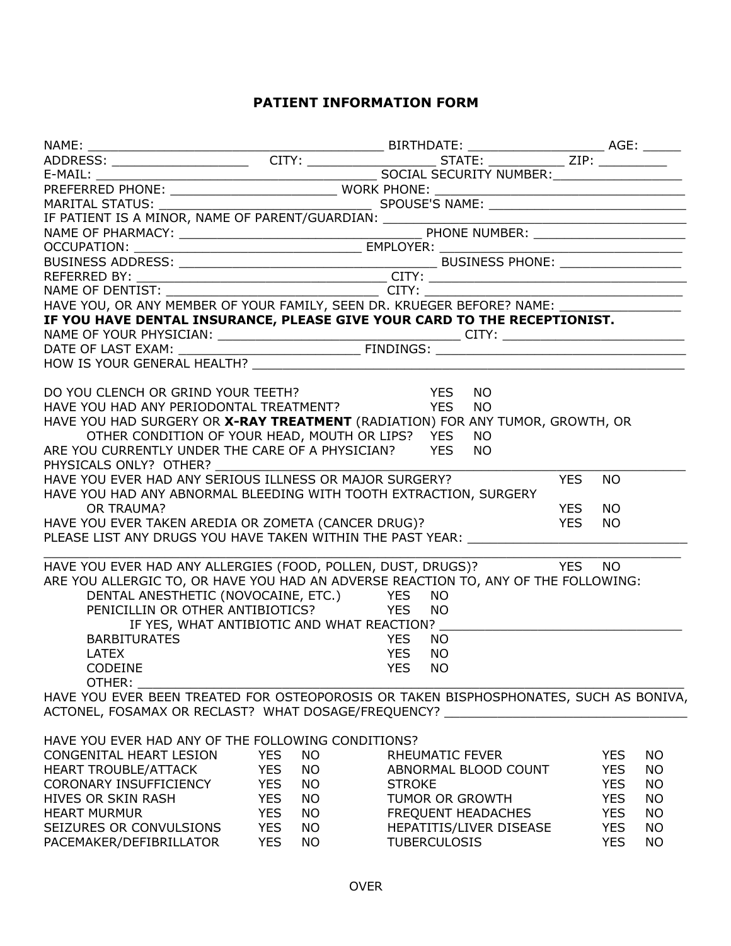## **PATIENT INFORMATION FORM**

|                                                                                                                                              |                         |                         | <u> 1989 - Johann Barn, mars eta bainar eta i</u> |
|----------------------------------------------------------------------------------------------------------------------------------------------|-------------------------|-------------------------|---------------------------------------------------|
| HAVE YOU, OR ANY MEMBER OF YOUR FAMILY, SEEN DR. KRUEGER BEFORE? NAME:                                                                       |                         |                         |                                                   |
| IF YOU HAVE DENTAL INSURANCE, PLEASE GIVE YOUR CARD TO THE RECEPTIONIST.                                                                     |                         |                         |                                                   |
|                                                                                                                                              |                         |                         |                                                   |
|                                                                                                                                              |                         |                         |                                                   |
|                                                                                                                                              |                         |                         |                                                   |
|                                                                                                                                              |                         |                         |                                                   |
|                                                                                                                                              |                         | NO.                     |                                                   |
| DO YOU CLENCH OR GRIND YOUR TEETH?<br>HAVE YOU HAD ANY PERIODONTAL TREATMENT? YES                                                            |                         | NO.                     |                                                   |
| HAVE YOU HAD SURGERY OR X-RAY TREATMENT (RADIATION) FOR ANY TUMOR, GROWTH, OR                                                                |                         |                         |                                                   |
| OTHER CONDITION OF YOUR HEAD, MOUTH OR LIPS? YES                                                                                             |                         | NO.                     |                                                   |
| ARE YOU CURRENTLY UNDER THE CARE OF A PHYSICIAN? YES                                                                                         |                         | NO.                     |                                                   |
| PHYSICALS ONLY? OTHER?                                                                                                                       |                         |                         |                                                   |
| HAVE YOU EVER HAD ANY SERIOUS ILLNESS OR MAJOR SURGERY?                                                                                      |                         |                         | <b>YES</b><br><b>NO</b>                           |
| HAVE YOU HAD ANY ABNORMAL BLEEDING WITH TOOTH EXTRACTION, SURGERY                                                                            |                         |                         |                                                   |
| OR TRAUMA?                                                                                                                                   |                         |                         | <b>YES</b><br>NO.                                 |
|                                                                                                                                              |                         |                         | <b>YES</b><br>NO.                                 |
| HAVE YOU EVER TAKEN AREDIA OR ZOMETA (CANCER DRUG)?<br>PLEASE LIST ANY DRUGS YOU HAVE TAKEN WITHIN THE PAST YEAR: VERTILE AND THE PAST YEAR: |                         |                         |                                                   |
|                                                                                                                                              |                         |                         |                                                   |
| HAVE YOU EVER HAD ANY ALLERGIES (FOOD, POLLEN, DUST, DRUGS)? YES                                                                             |                         |                         | NO.                                               |
| ARE YOU ALLERGIC TO, OR HAVE YOU HAD AN ADVERSE REACTION TO, ANY OF THE FOLLOWING:                                                           |                         |                         |                                                   |
|                                                                                                                                              |                         |                         |                                                   |
| DENTAL ANESTHETIC (NOVOCAINE, ETC.) YES<br>PENICILLIN OR OTHER ANTIBIOTICS?                                                                  | <b>EXAMPLE YES</b>      | NO                      |                                                   |
|                                                                                                                                              |                         | NO.                     |                                                   |
| IF YES, WHAT ANTIBIOTIC AND WHAT REACTION?                                                                                                   |                         |                         |                                                   |
| <b>BARBITURATES</b>                                                                                                                          |                         | <b>YES</b><br>NO.       |                                                   |
| <b>LATEX</b>                                                                                                                                 |                         | <b>YES</b><br>NO.       |                                                   |
| <b>CODEINE</b>                                                                                                                               |                         | <b>YFS</b><br>NO.       |                                                   |
| OTHER:                                                                                                                                       |                         |                         |                                                   |
| HAVE YOU EVER BEEN TREATED FOR OSTEOPOROSIS OR TAKEN BISPHOSPHONATES, SUCH AS BONIVA,                                                        |                         |                         |                                                   |
| ACTONEL, FOSAMAX OR RECLAST? WHAT DOSAGE/FREQUENCY? ____________________________                                                             |                         |                         |                                                   |
|                                                                                                                                              |                         |                         |                                                   |
| HAVE YOU EVER HAD ANY OF THE FOLLOWING CONDITIONS?                                                                                           |                         |                         |                                                   |
| CONGENITAL HEART LESION                                                                                                                      | <b>YES</b><br><b>NO</b> | RHEUMATIC FEVER         | <b>YES</b><br>NO.                                 |
| HEART TROUBLE/ATTACK                                                                                                                         | <b>YES</b><br>NO        | ABNORMAL BLOOD COUNT    | <b>YES</b><br>NO.                                 |
| CORONARY INSUFFICIENCY                                                                                                                       | YES<br>NO               | <b>STROKE</b>           | <b>YES</b><br>NO.                                 |
| HIVES OR SKIN RASH                                                                                                                           | <b>YES</b><br>NO        | TUMOR OR GROWTH         | <b>YES</b><br><b>NO</b>                           |
| <b>HEART MURMUR</b>                                                                                                                          | <b>YES</b><br><b>NO</b> | FREQUENT HEADACHES      | <b>YES</b><br><b>NO</b>                           |
| SEIZURES OR CONVULSIONS                                                                                                                      | <b>YES</b><br>NO        | HEPATITIS/LIVER DISEASE | <b>YES</b><br>NO.                                 |
| PACEMAKER/DEFIBRILLATOR                                                                                                                      | <b>YES</b><br><b>NO</b> | <b>TUBERCULOSIS</b>     | <b>YES</b><br>NO                                  |